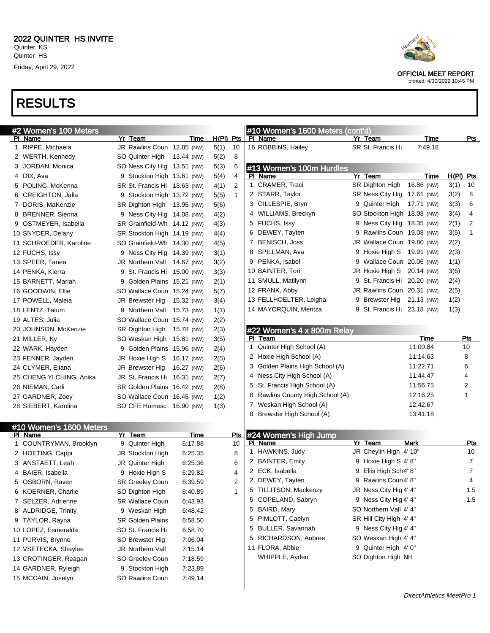

printed: 4/30/2022 10:45 PM

| #2 Women's 100 Meters              |                              |             |             |              |    | #10 Women's 1600 Meters (cont'd) |                             |             |             |            |
|------------------------------------|------------------------------|-------------|-------------|--------------|----|----------------------------------|-----------------------------|-------------|-------------|------------|
| PI Name                            | Yr Team                      | Time        | $H(PI)$ Pts |              |    | PI Name                          | Yr Team                     | Time        |             | <u>Pts</u> |
| 1 RIPPE, Michaela                  | JR Rawlins Coun 12.85 (NW)   |             | 5(1)        | 10           |    | 16 ROBBINS, Hailey               | SR St. Francis Hi           | 7:49.18     |             |            |
| 2 WERTH, Kennedy                   | SO Quinter High 13.44 (NW)   |             | 5(2)        | 8            |    |                                  |                             |             |             |            |
| 3 JORDAN, Monica                   | SO Ness City Hig 13.51 (NW)  |             | 5(3)        | 6            |    | #13 Women's 100m Hurdles         |                             |             |             |            |
| 4 DIX, Ava                         | 9 Stockton High 13.61 (NW)   |             | 5(4)        | 4            |    | PI Name                          | Yr Team                     | Time        | $H(PI)$ Pts |            |
| 5 POLING, McKenna                  | SR St. Francis Hi 13.63 (NW) |             | 4(1)        | 2            |    | 1 CRAMER, Traci                  | SR Dighton High             | 16.86 (NW)  | 3(1)        | 10         |
| 6 CREIGHTON, Jalia                 | 9 Stockton High 13.72 (NW)   |             | 5(5)        | $\mathbf{1}$ |    | 2 STARR, Taylor                  | SR Ness City Hig 17.61 (NW) |             | 3(2)        | 8          |
| 7 DORIS, MaKenzie                  | SR Dighton High 13.95 (NW)   |             | 5(6)        |              |    | 3 GILLESPIE, Bryn                | 9 Quinter High 17.71 (NW)   |             | 3(3)        | 6          |
| 8 BRENNER, Sienna                  | 9 Ness City Hig 14.08 (NW)   |             | 4(2)        |              |    | 4 WILLIAMS, Breckyn              | SO Stockton High 18.08 (NW) |             | 3(4)        | 4          |
| 9 OSTMEYER, Isabella               | SR Grainfield-Wh 14.12 (NW)  |             | 4(3)        |              |    | 5 FUCHS, Issy                    | 9 Ness City Hig 18.35 (NW)  |             | 2(1)        | 2          |
| 10 SNYDER, Delany                  | SR Stockton High 14.19 (NW)  |             | 4(4)        |              |    | 6 DEWEY, Tayten                  | 9 Rawlins Coun 19.08 (NW)   |             | 3(5)        | 1          |
| 11 SCHROEDER, Karoline             | SO Grainfield-Wh 14.30 (NW)  |             | 4(5)        |              | 7  | <b>BENISCH, Joss</b>             | JR Wallace Coun 19.80 (NW)  |             | 2(2)        |            |
| 12 FUCHS, Issy                     | 9 Ness City Hig 14.39 (NW)   |             | 3(1)        |              | 8  | SPILLMAN, Ava                    | 9 Hoxie High S 19.91 (NW)   |             | 2(3)        |            |
| 13 SPEER, Tanea                    | JR Northern Vall 14.67 (NW)  |             | 3(2)        |              |    | 9 PENKA, Isabel                  | 9 Wallace Coun 20.06 (NW)   |             | 1(1)        |            |
| 14 PENKA, Kierra                   | 9 St. Francis Hi 15.00 (NW)  |             | 3(3)        |              |    | 10 BAINTER, Tori                 | JR Hoxie High S 20.14 (NW)  |             | 3(6)        |            |
| 15 BARNETT, Mariah                 | 9 Golden Plains 15.21 (NW)   |             | 2(1)        |              |    | 11 SMULL, Matilynn               | 9 St. Francis Hi 20.20 (NW) |             | 2(4)        |            |
| 16 GOODWIN, Ellie                  | SO Wallace Coun 15.24 (NW)   |             | 5(7)        |              |    | 12 FRANK, Abby                   | JR Rawlins Coun 20.31 (NW)  |             | 2(5)        |            |
| 17 POWELL, Maleia                  | JR Brewster Hig              | 15.32 (NW)  | 3(4)        |              |    | 13 FELLHOELTER, Leigha           | 9 Brewster Hig              | 21.13 (NW)  | 1(2)        |            |
| 18 LENTZ, Tatum                    | 9 Northern Vall 15.73 (NW)   |             | 1(1)        |              |    | 14 MAYORQUIN, Meritza            | 9 St. Francis Hi 23.18 (NW) |             | 1(3)        |            |
| 19 ALTES, Julia                    | SO Wallace Coun 15.74 (NW)   |             | 2(2)        |              |    |                                  |                             |             |             |            |
| 20 JOHNSON, McKenzie               | SR Dighton High 15.78 (NW)   |             | 2(3)        |              |    | #22 Women's 4 x 800m Relay       |                             |             |             |            |
| 21 MILLER, Ky                      | SO Weskan High 15.81 (NW)    |             | 3(5)        |              |    | PI Team                          |                             | Time        |             | <u>Pts</u> |
| 22 WARK, Hayden                    | 9 Golden Plains 15.96 (NW)   |             | 2(4)        |              | 1. | Quinter High School (A)          |                             | 11:00.84    |             | 10         |
| 23 FENNER, Jayden                  | JR Hoxie High S 16.17 (NW)   |             | 2(5)        |              |    | 2 Hoxie High School (A)          |                             | 11:14.63    |             | 8          |
| 24 CLYMER, Eliana                  | JR Brewster Hig              | 16.27 (NW)  | 2(6)        |              |    | 3 Golden Plains High School (A)  |                             | 11:22.71    |             | 6          |
| 25 CHENG YI CHING, Anika           | JR St. Francis Hi 16.31 (NW) |             | 2(7)        |              | 4  | Ness City High School (A)        |                             | 11:44.47    |             | 4          |
| 26 NIEMAN, Carli                   | SR Golden Plains 16.42 (NW)  |             | 2(8)        |              | 5  | St. Francis High School (A)      |                             | 11:56.75    |             | 2          |
| 27 GARDNER, Zoey                   | SO Wallace Coun 16.45 (NW)   |             | 1(2)        |              | 6  | Rawlins County High School (A)   |                             | 12:16.25    |             | 1          |
| 28 SIEBERT, Karolina               | SO CFE Homesc 16.90 (NW)     |             | 1(3)        |              |    | 7 Weskan High School (A)         |                             | 12:42.67    |             |            |
|                                    |                              |             |             |              | 8  | Brewster High School (A)         |                             | 13:41.18    |             |            |
|                                    |                              |             |             |              |    |                                  |                             |             |             |            |
| #10 Women's 1600 Meters<br>PI Name | Yr Team                      | <u>Time</u> |             | <u>Pts</u>   |    | #24 Women's High Jump            |                             |             |             |            |
| 1 COUNTRYMAN, Brooklyn             | 9 Quinter High               | 6:17.88     |             | 10           |    | PI Name                          | Yr Team                     | <b>Mark</b> |             | <u>Pts</u> |
| 2 HOETING, Cappi                   | JR Stockton High             | 6:25.35     |             | 8            |    | 1 HAWKINS, Judy                  | JR Cheylin High 4' 10"      |             |             | 10         |
| 3 ANSTAETT, Leah                   | <b>JR Quinter High</b>       | 6:25.36     |             | 6            |    | 2 BAINTER, Emily                 | 9 Hoxie High S 4' 8"        |             |             | 7          |
| 4 BAIER, Isabella                  | 9 Hoxie High S               | 6:29.82     |             | 4            |    | 2 ECK, Isabella                  | 9 Ellis High Sch4' 8"       |             |             | 7          |
| 5 OSBORN, Raven                    | SR Greeley Coun              | 6:39.59     |             | 2            | 2  | DEWEY, Tayten                    | 9 Rawlins Coun4' 8"         |             |             | 4          |
| 6 KOERNER, Charlie                 | SO Dighton High              | 6:40.89     |             | $\mathbf{1}$ |    | 5 TILLITSON, Mackenzy            | JR Ness City Hig 4' 4"      |             |             | $1.5$      |
| 7 SELZER, Adrienne                 | <b>SR Wallace Coun</b>       | 6:43.93     |             |              |    | 5 COPELAND, Sabryn               | 9 Ness City Hig 4' 4"       |             |             | 1.5        |
| 8 ALDRIDGE, Trinity                | 9 Weskan High                | 6:48.42     |             |              |    | 5 BAIRD, Mary                    | SO Northern Vall 4' 4"      |             |             |            |
| 9 TAYLOR, Rayna                    | <b>SR Golden Plains</b>      | 6:58.50     |             |              |    | 5 PIMLOTT, Caelyn                | SR Hill City High 4' 4"     |             |             |            |
| 10 LOPEZ, Esmeralda                | SO St. Francis Hi            | 6:58.70     |             |              |    | 5 BULLER, Savannah               | 9 Ness City Hig 4' 4"       |             |             |            |
| 11 PURVIS, Brynne                  | SO Brewster Hig              | 7:06.04     |             |              |    | 5 RICHARDSON, Aubree             | SO Weskan High 4' 4"        |             |             |            |
| 12 VSETECKA, Shaylee               |                              |             |             |              |    | 11 FLORA, Abbie                  | 9 Quinter High 4' 0"        |             |             |            |
|                                    | JR Northern Vall             | 7:15.14     |             |              |    | WHIPPLE, Ayden                   | SO Dighton High NH          |             |             |            |
| 13 CROTINGER, Reagan               | SO Greeley Coun              | 7:18.59     |             |              |    |                                  |                             |             |             |            |
| 14 GARDNER, Ryleigh                | 9 Stockton High              | 7:23.89     |             |              |    |                                  |                             |             |             |            |
| 15 MCCAIN, Joselyn                 | SO Rawlins Coun              | 7:49.14     |             |              |    |                                  |                             |             |             |            |
|                                    |                              |             |             |              |    |                                  |                             |             |             |            |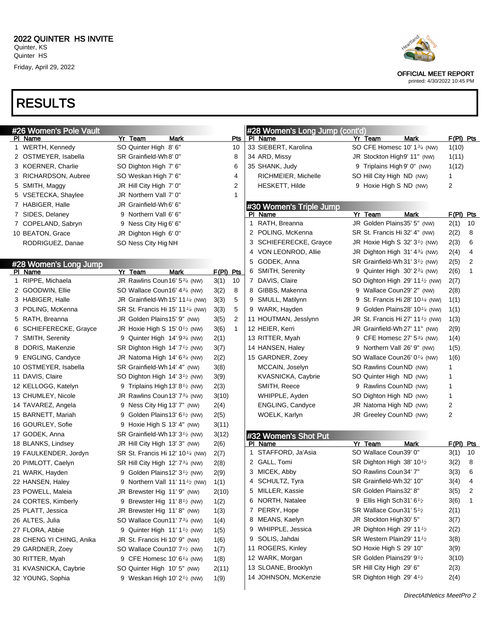

| #26 Women's Pole Vault                   |                                                                       |           |              | #28 Women's Long Jump (cont'd) |                                             |      |                     |                |
|------------------------------------------|-----------------------------------------------------------------------|-----------|--------------|--------------------------------|---------------------------------------------|------|---------------------|----------------|
| PI Name                                  | Yr Team<br>Mark                                                       |           | Pts          | PI Name                        | Yr Team                                     | Mark | $F(PI)$ Pts         |                |
| 1 WERTH, Kennedy                         | SO Quinter High 8' 6"                                                 |           | 10           | 33 SIEBERT, Karolina           | SO CFE Homesc 10' 13/4 (NW)                 |      | 1(10)               |                |
| 2 OSTMEYER, Isabella                     | SR Grainfield-Wh8' 0"                                                 |           | 8            | 34 ARD, Missy                  | JR Stockton High9' 11" (NW)                 |      | 1(11)               |                |
| 3 KOERNER, Charlie                       | SO Dighton High 7' 6"                                                 |           | 6            | 35 SHANK, Judy                 | 9 Triplains High 9' 0" (NW)                 |      | 1(12)               |                |
| 3 RICHARDSON, Aubree                     | SO Weskan High 7' 6"                                                  |           | 4            | RICHMEIER, Michelle            | SO Hill City High ND (NW)                   |      | 1                   |                |
| 5 SMITH, Maggy                           | JR Hill City High 7' 0"                                               |           | 2            | HESKETT, Hilde                 | 9 Hoxie High S ND (NW)                      |      | 2                   |                |
| 5 VSETECKA, Shaylee                      | JR Northern Vall 7' 0"                                                |           | $\mathbf 1$  |                                |                                             |      |                     |                |
| 7 HABIGER, Halle                         | JR Grainfield-Wh6' 6"                                                 |           |              | #30 Women's Triple Jump        |                                             |      |                     |                |
| 7 SIDES, Delaney                         | 9 Northern Vall 6' 6"                                                 |           |              | PI Name                        | Yr Team                                     | Mark | $F(PI)$ Pts         |                |
| 7 COPELAND, Sabryn                       | 9 Ness City Hig 6' 6"                                                 |           |              | 1 RATH, Breanna                | JR Golden Plains35' 5" (NW)                 |      | 2(1)                | 10             |
| 10 BEATON, Grace                         | JR Dighton High 6' 0"                                                 |           |              | 2 POLING, McKenna              | SR St. Francis Hi 32' 4" (NW)               |      | 2(2)                | 8              |
| RODRIGUEZ, Danae                         | SO Ness City Hig NH                                                   |           |              | 3 SCHIEFERECKE, Grayce         | JR Hoxie High S 32' $3\frac{1}{2}$ (NW)     |      | 2(3)                | 6              |
|                                          |                                                                       |           |              | 4 VON LEONROD, Allie           | JR Dighton High $31'$ 4 $3/4$ (NW)          |      | 2(4)                | 4              |
| #28 Women's Long Jump                    |                                                                       |           |              | 5 GODEK, Anna                  | SR Grainfield-Wh 31' $3\frac{1}{2}$ (NW)    |      | 2(5)                | 2              |
| PI Name                                  | Mark<br>Yr Team                                                       | F(PI) Pts |              | 6 SMITH, Serenity              | 9 Quinter High $30'2\frac{3}{4}$ (NW)       |      | 2(6)                | $\mathbf{1}$   |
| 1 RIPPE, Michaela                        | JR Rawlins Coun 16' 53/4 (NW)                                         | 3(1)      | 10           | 7 DAVIS, Claire                | SO Dighton High 29' 11 $\frac{1}{2}$ (NW)   |      | 2(7)                |                |
| 2 GOODWIN, Ellie                         | SO Wallace Coun16' 43/4 (NW)                                          | 3(2)      | 8            | 8 GIBBS, Makenna               | 9 Wallace Coun29' 2" (NW)                   |      | 2(8)                |                |
| 3 HABIGER, Halle                         | JR Grainfield-Wh 15' 11 1/4 (NW)                                      | 3(3)      | 5            | 9 SMULL, Matilynn              | 9 St. Francis Hi 28' 10 <sup>1/4</sup> (NW) |      | 1(1)                |                |
| 3 POLING, McKenna                        | SR St. Francis Hi 15' 11 1/4 (NW)                                     | 3(3)      | 5            | 9 WARK, Hayden                 | 9 Golden Plains28' 10 <sup>1/4</sup> (NW)   |      | 1(1)                |                |
| 5 RATH, Breanna                          | JR Golden Plains15' 9" (NW)                                           | 3(5)      | 2            | 11 HOUTMAN, Jesslynn           | JR St. Francis Hi 27' 11 $\frac{1}{2}$ (NW) |      | 1(3)                |                |
| 6 SCHIEFERECKE, Grayce                   | JR Hoxie High S 15' $0\frac{1}{2}$ (NW)                               | 3(6)      | $\mathbf{1}$ | 12 HEIER, Kerri                | JR Grainfield-Wh 27' 11" (NW)               |      | 2(9)                |                |
| 7 SMITH, Serenity                        | 9 Quinter High $14'$ 9 $\frac{3}{4}$ (NW)                             | 2(1)      |              | 13 RITTER, Myah                | 9 CFE Homesc 27' 534 (NW)                   |      | 1(4)                |                |
| 8 DORIS, MaKenzie                        | SR Dighton High 14' 7 <sup>1</sup> / <sub>2</sub> (NW)                | 3(7)      |              | 14 HANSEN, Haley               | 9 Northern Vall 26' 9" (NW)                 |      | 1(5)                |                |
| 9 ENGLING, Candyce                       | JR Natoma High 14' 6 <sup>3/4</sup> (NW)                              | 2(2)      |              | 15 GARDNER, Zoey               | SO Wallace Coun26' 0 <sup>1/4</sup> (NW)    |      | 1(6)                |                |
| 10 OSTMEYER, Isabella                    | SR Grainfield-Wh 14' 4" (NW)                                          | 3(8)      |              | MCCAIN, Joselyn                | SO Rawlins CounND (NW)                      |      | 1                   |                |
| 11 DAVIS, Claire                         | SO Dighton High 14' 3 <sup>1</sup> / <sub>2</sub> (NW)                | 3(9)      |              | KVASNICKA, Caybrie             | SO Quinter High ND (NW)                     |      | 1                   |                |
| 12 KELLOGG, Katelyn                      | 9 Triplains High 13' 8 <sup>1</sup> / <sub>2</sub> (NW)               | 2(3)      |              | SMITH, Reece                   | 9 Rawlins CounND (NW)                       |      | 1                   |                |
| 13 CHUMLEY, Nicole                       | JR Rawlins Coun13' 7 <sup>3/4</sup> (NW)                              | 3(10)     |              | WHIPPLE, Ayden                 | SO Dighton High ND (NW)                     |      | 1                   |                |
| 14 TAVAREZ, Angela                       | 9 Ness City Hig 13' 7" (NW)                                           | 2(4)      |              | ENGLING, Candyce               | JR Natoma High ND (NW)                      |      | 2                   |                |
| 15 BARNETT, Mariah                       | 9 Golden Plains13' 6 <sup>1</sup> / <sub>2</sub> (NW)                 | 2(5)      |              | WOELK, Karlyn                  | JR Greeley CounND (NW)                      |      | 2                   |                |
| 16 GOURLEY, Sofie                        | 9 Hoxie High S 13' 4" (NW)                                            | 3(11)     |              |                                |                                             |      |                     |                |
| 17 GODEK, Anna                           | SR Grainfield-Wh 13' $3\frac{1}{2}$ (NW)                              | 3(12)     |              | #32 Women's Shot Put           |                                             |      |                     |                |
| 18 BLANKS, Lindsey                       | JR Hill City High 13' 3" (NW)                                         | 2(6)      |              | PI Name<br>STAFFORD, Ja'Asia   | Yr Team<br>SO Wallace Coun39' 0"            | Mark | $F(PI)$ Pts<br>3(1) | 10             |
| 19 FAULKENDER, Jordyn                    | SR St. Francis Hi 12' 10 <sup>1/4</sup> (NW)                          | 2(7)      |              | 2 GALL, Tomi                   | SR Dighton High 38' 10 <sup>1</sup> /2      |      | 3(2)                | 8              |
| 20 PIMLOTT, Caelyn                       | SR Hill City High 12' 7 <sup>3/4</sup> (NW)                           | 2(8)      |              | 3 MICEK, Abby                  | SO Rawlins Coun34' 7"                       |      | 3(3)                | 6              |
| 21 WARK, Hayden                          | 9 Golden Plains12' 3 <sup>1</sup> / <sub>2</sub> (NW)                 | 2(9)      |              | 4 SCHULTZ, Tyra                | SR Grainfield-Wh 32' 10"                    |      | 3(4)                | $\overline{4}$ |
| 22 HANSEN, Haley                         | 9 Northern Vall 11' 111/2 (NW)                                        | 1(1)      |              | 5 MILLER, Kassie               | SR Golden Plains32' 8"                      |      | 3(5)                | 2              |
| 23 POWELL, Maleia<br>24 CORTES, Kimberly | JR Brewster Hig 11'9" (NW)                                            | 2(10)     |              | 6 NORTH, Natalee               | 9 Ellis High Sch 31' 6 <sup>1</sup> /2      |      | 3(6)                | -1             |
|                                          | 9 Brewster Hig 11' 8 <sup>1/2</sup> (NW)                              | 1(2)      |              | 7 PERRY, Hope                  | SR Wallace Coun31' 5 <sup>1</sup> /2        |      | 2(1)                |                |
| 25 PLATT, Jessica<br>26 ALTES, Julia     | JR Brewster Hig 11'8" (NW)                                            | 1(3)      |              | 8 MEANS, Kaelyn                | JR Stockton High 30' 5"                     |      | 3(7)                |                |
|                                          | SO Wallace Coun11' 73/4 (NW)                                          | 1(4)      |              | 9 WHIPPLE, Jessica             | JR Dighton High 29' 11 $\frac{1}{2}$        |      | 2(2)                |                |
| 27 FLORA, Abbie                          | 9 Quinter High $11'1'$ (NW)                                           | 1(5)      |              | 9 SOLIS, Jahdai                | SR Western Plain29' 111/2                   |      | 3(8)                |                |
| 28 CHENG YI CHING, Anika                 | JR St. Francis Hi 10' 9" (NW)                                         | 1(6)      |              | 11 ROGERS, Kinley              | SO Hoxie High S 29' 10"                     |      | 3(9)                |                |
| 29 GARDNER, Zoey                         | SO Wallace Coun10' 7 <sup>1</sup> / <sub>2</sub> (NW)                 | 1(7)      |              | 12 WARK, Morgan                | SR Golden Plains29' 91/2                    |      | 3(10)               |                |
| 30 RITTER, Myah<br>31 KVASNICKA, Caybrie | 9 CFE Homesc 10' 6 <sup>1/4</sup> (NW)<br>SO Quinter High 10' 5" (NW) | 1(8)      |              | 13 SLOANE, Brooklyn            | SR Hill City High 29' 6"                    |      | 2(3)                |                |
| 32 YOUNG, Sophia                         | 9 Weskan High 10' $2\frac{1}{2}$ (NW)                                 | 2(11)     |              | 14 JOHNSON, McKenzie           | SR Dighton High 29' 4 <sup>1</sup> /2       |      | 2(4)                |                |
|                                          |                                                                       | 1(9)      |              |                                |                                             |      |                     |                |
|                                          |                                                                       |           |              |                                |                                             |      |                     |                |



printed: 4/30/2022 10:45 PM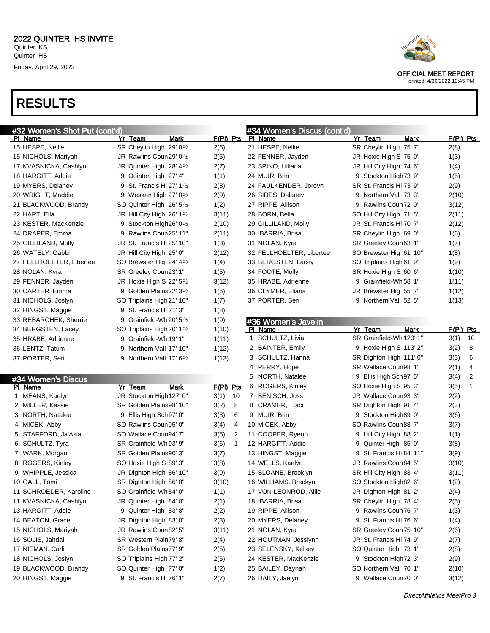

printed: 4/30/2022 10:45 PM

| #32 Women's Shot Put (cont'd) |                                                  |                      | #34 Women's Discus (cont'd) |                          |                      |
|-------------------------------|--------------------------------------------------|----------------------|-----------------------------|--------------------------|----------------------|
| PI Name                       | Yr Team<br>Mark                                  | $F(PI)$ Pts          | PI Name                     | Yr Team<br>Mark          | $F(PI)$ Pts          |
| 15 HESPE, Nellie              | SR Cheylin High 29' 0 <sup>1</sup> /2            | 2(5)                 | 21 HESPE, Nellie            | SR Cheylin High 75' 7"   | 2(8)                 |
| 15 NICHOLS, Mariyah           | JR Rawlins Coun29' 0 <sup>1</sup> / <sub>2</sub> | 2(5)                 | 22 FENNER, Jayden           | JR Hoxie High S 75' 0"   | 1(3)                 |
| 17 KVASNICKA, Cashlyn         | JR Quinter High 28' 4 <sup>1</sup> /2            | 2(7)                 | 23 SPINO, Lilliana          | JR Hill City High 74' 6" | 1(4)                 |
| 18 HARGITT, Addie             | 9 Quinter High 27' 4"                            | 1(1)                 | 24 MUIR, Brin               | 9 Stockton High 73' 9"   | 1(5)                 |
| 19 MYERS, Delaney             | 9 St. Francis Hi 27' $1\frac{1}{2}$              | 2(8)                 | 24 FAULKENDER, Jordyn       | SR St. Francis Hi 73' 9" | 2(9)                 |
| 20 WRIGHT, Maddie             | 9 Weskan High 27' $0\frac{1}{2}$                 | 2(9)                 | 26 SIDES, Delaney           | 9 Northern Vall 73' 3"   | 2(10)                |
| 21 BLACKWOOD, Brandy          | SO Quinter High 26' 5 <sup>1</sup> /2            | 1(2)                 | 27 RIPPE, Allison           | 9 Rawlins Coun 72' 0"    | 3(12)                |
| 22 HART, Ella                 | JR Hill City High 26' $1\frac{1}{2}$             | 3(11)                | 28 BORN, Bella              | SO Hill City High 71' 5" | 2(11)                |
| 23 KESTER, MacKenzie          | 9 Stockton High26' 0 <sup>1</sup> /2             | 2(10)                | 29 GILLILAND, Molly         | JR St. Francis Hi 70' 7" | 2(12)                |
| 24 DRAPER, Emma               | 9 Rawlins Coun25' 11"                            | 2(11)                | 30 IBARRIA, Brisa           | SR Cheylin High 69' 0"   | 1(6)                 |
| 25 GILLILAND, Molly           | JR St. Francis Hi 25' 10"                        | 1(3)                 | 31 NOLAN, Kyra              | SR Greeley Coun63' 1"    | 1(7)                 |
| 26 WATELY, Gabbi              | JR Hill City High 25' 0"                         | 2(12)                | 32 FELLHOELTER, Libertee    | SO Brewster Hig 61' 10"  | 1(8)                 |
| 27 FELLHOELTER, Libertee      | SO Brewster Hig 24' 4 <sup>1</sup> /2            | 1(4)                 | 33 BERGSTEN, Lacey          | SO Triplains High 61' 9" | 1(9)                 |
| 28 NOLAN, Kyra                | SR Greeley Coun23' 1"                            | 1(5)                 | 34 FOOTE, Molly             | SR Hoxie High S 60' 6"   | 1(10)                |
| 29 FENNER, Jayden             | JR Hoxie High S 22' $5\frac{1}{2}$               | 3(12)                | 35 HRABE, Adrienne          | 9 Grainfield-Wh 58' 1"   | 1(11)                |
| 30 CARTER, Emma               | 9 Golden Plains22' $3\frac{1}{2}$                | 1(6)                 | 36 CLYMER, Eliana           | JR Brewster Hig 55' 7"   | 1(12)                |
| 31 NICHOLS, Joslyn            | SO Triplains High 21' 10"                        | 1(7)                 | 37 PORTER, Seri             | 9 Northern Vall 52' 5"   | 1(13)                |
| 32 HINGST, Maggie             | 9 St. Francis Hi 21' 3"                          | 1(8)                 |                             |                          |                      |
| 33 REBARCHEK, Sherrie         | 9 Grainfield-Wh 20' $5\frac{1}{2}$               | 1(9)                 | #36 Women's Javelin         |                          |                      |
| 34 BERGSTEN, Lacey            | SO Triplains High 20' 1 <sup>1</sup> /2          | 1(10)                | PI Name                     | Yr Team<br>Mark          | F(PI) Pts            |
| 35 HRABE, Adrienne            | 9 Grainfield-Wh 19' 1"                           | 1(11)                | 1 SCHULTZ, Livia            | SR Grainfield-Wh 120' 1" | 3(1)<br>10           |
| 36 LENTZ, Tatum               | 9 Northern Vall 17' 10"                          | 1(12)                | 2 BAINTER, Emily            | 9 Hoxie High S 113' 2"   | 3(2)<br>8            |
| 37 PORTER, Seri               | 9 Northern Vall 17' $6\frac{1}{2}$               | 1(13)                | 3 SCHULTZ, Hanna            | SR Dighton High 111' 0"  | 6<br>3(3)            |
|                               |                                                  |                      | 4 PERRY, Hope               | SR Wallace Coun98' 1"    | 4<br>2(1)            |
|                               |                                                  |                      | 5 NORTH, Natalee            | 9 Ellis High Sch 97' 5"  | 2<br>3(4)            |
| #34 Women's Discus<br>PI Name | Yr Team<br>Mark                                  | $F(PI)$ Pts          | 6 ROGERS, Kinley            | SO Hoxie High S 95' 3"   | $\mathbf{1}$<br>3(5) |
| 1 MEANS, Kaelyn               | JR Stockton High127' 0"                          | 3(1)<br>10           | 7 BENISCH, Joss             | JR Wallace Coun93' 3"    | 2(2)                 |
| 2 MILLER, Kassie              | SR Golden Plains98' 10"                          | 8<br>3(2)            | 8 CRAMER, Traci             | SR Dighton High 91' 4"   | 2(3)                 |
| 3 NORTH, Natalee              | 9 Ellis High Sch97' 0"                           | 6                    | 9 MUIR, Brin                |                          |                      |
|                               |                                                  | 3(3)<br>4            |                             | 9 Stockton High 89' 0"   | 3(6)                 |
| 4 MICEK, Abby                 | SO Rawlins Coun95' 0"                            | 3(4)                 | 10 MICEK, Abby              | SO Rawlins Coun88' 7"    | 3(7)                 |
| 5 STAFFORD, Ja'Asia           | SO Wallace Coun94' 7"                            | 2<br>3(5)            | 11 COOPER, Ryenn            | 9 Hill City High 88' 2"  | 1(1)                 |
| 6 SCHULTZ, Tyra               | SR Grainfield-Wh 93' 9"                          | $\mathbf{1}$<br>3(6) | 12 HARGITT, Addie           | 9 Quinter High 85' 0"    | 3(8)                 |
| 7 WARK, Morgan                | SR Golden Plains90' 3"                           | 3(7)                 | 13 HINGST, Maggie           | 9 St. Francis Hi 84' 11" | 3(9)                 |
| 8 ROGERS, Kinley              | SO Hoxie High S 89' 3"                           | 3(8)                 | 14 WELLS, Kaelyn            | JR Rawlins Coun84' 5"    | 3(10)                |
| 9 WHIPPLE, Jessica            | JR Dighton High 86' 10"                          | 3(9)                 | 15 SLOANE, Brooklyn         | SR Hill City High 83' 4" | 3(11)                |
| 10 GALL, Tomi                 | SR Dighton High 86' 0"                           | 3(10)                | 16 WILLIAMS, Breckyn        | SO Stockton High82' 6"   | 1(2)                 |
| 11 SCHROEDER, Karoline        | SO Grainfield-Wh 84' 0"                          | 1(1)                 | 17 VON LEONROD, Allie       | JR Dighton High 81' 2"   | 2(4)                 |
| 11 KVASNICKA, Cashlyn         | JR Quinter High 84' 0"                           | 2(1)                 | 18 IBARRIA, Brisa           | SR Cheylin High 78' 4"   | 2(5)                 |
| 13 HARGITT, Addie             | 9 Quinter High 83' 8"                            | 2(2)                 | 19 RIPPE, Allison           | 9 Rawlins Coun76' 7"     | 1(3)                 |
| 14 BEATON, Grace              | JR Dighton High 83' 0"                           | 2(3)                 | 20 MYERS, Delaney           | 9 St. Francis Hi 76' 6"  | 1(4)                 |
| 15 NICHOLS, Mariyah           | JR Rawlins Coun82' 5"                            | 3(11)                | 21 NOLAN, Kyra              | SR Greeley Coun 75' 10"  | 2(6)                 |
| 16 SOLIS, Jahdai              | SR Western Plain79' 8"                           | 2(4)                 | 22 HOUTMAN, Jesslynn        | JR St. Francis Hi 74' 9" | 2(7)                 |
| 17 NIEMAN, Carli              | SR Golden Plains77' 9"                           | 2(5)                 | 23 SELENSKY, Kelsey         | SO Quinter High 73' 1"   | 2(8)                 |
| 18 NICHOLS, Joslyn            | SO Triplains High 77' 2"                         | 2(6)                 | 24 KESTER, MacKenzie        | 9 Stockton High 72' 3"   | 2(9)                 |
| 19 BLACKWOOD, Brandy          | SO Quinter High 77' 0"                           | 1(2)                 | 25 BAILEY, Daynah           | SO Northern Vall 70' 1"  | 2(10)                |
| 20 HINGST, Maggie             | 9 St. Francis Hi 76' 1"                          | 2(7)                 | 26 DAILY, Jaelyn            | 9 Wallace Coun70' 0"     | 3(12)                |
|                               |                                                  |                      |                             |                          |                      |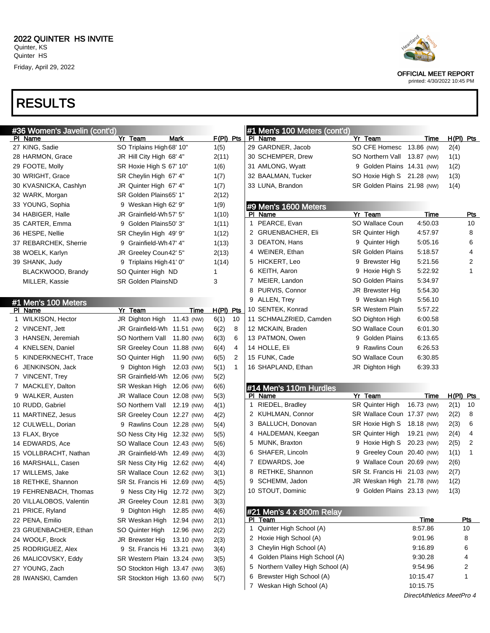# RESULTS



OFFICIAL MEET REPORT

printed: 4/30/2022 10:45 PM

DirectAthletics MeetPro 4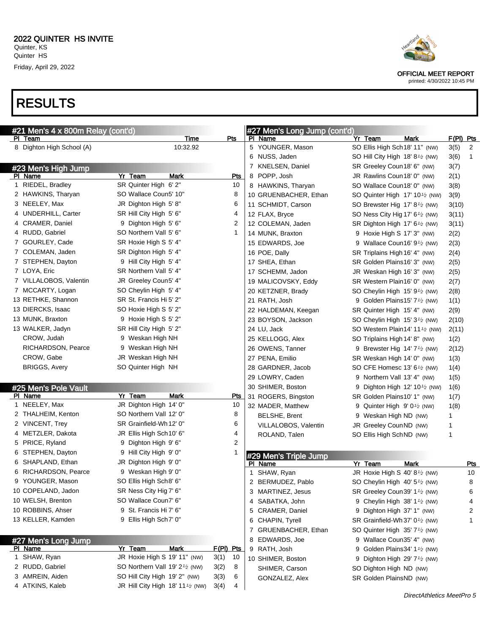

| #21 Men's 4 x 800m Relay (cont'd) |                                       |                                                         |            | #27 Men's Long Jump (cont'd)     |                               |                                                                                             |           |            |
|-----------------------------------|---------------------------------------|---------------------------------------------------------|------------|----------------------------------|-------------------------------|---------------------------------------------------------------------------------------------|-----------|------------|
|                                   | PI Team                               | Time                                                    | Pts        | PI Name                          | Yr Team                       | Mark                                                                                        | F(PI) Pts |            |
|                                   | 8 Dighton High School (A)             | 10:32.92                                                |            | 5 YOUNGER, Mason                 |                               | SO Ellis High Sch 18' 11" (NW)                                                              | 3(5)      | 2          |
|                                   |                                       |                                                         |            | 6 NUSS, Jaden                    |                               | SO Hill City High 18' $8\frac{1}{2}$ (NW)                                                   | 3(6)      | 1          |
|                                   | #23 Men's High Jump                   |                                                         |            | 7 KNELSEN, Daniel                | SR Greeley Coun 18' 6" (NW)   |                                                                                             | 3(7)      |            |
|                                   | PI Name                               | Yr Team<br>Mark                                         | <b>Pts</b> | 8 POPP, Josh                     | JR Rawlins Coun 18' 0" (NW)   |                                                                                             | 2(1)      |            |
|                                   | 1 RIEDEL, Bradley                     | SR Quinter High 6' 2"                                   | 10         | 8 HAWKINS, Tharyan               | SO Wallace Coun18' 0" (NW)    |                                                                                             | 3(8)      |            |
|                                   | 2 HAWKINS, Tharyan                    | SO Wallace Coun5' 10"                                   | 8          | 10 GRUENBACHER, Ethan            |                               | SO Quinter High 17' 10 <sup>1</sup> / <sub>2</sub> (NW)                                     | 3(9)      |            |
|                                   | 3 NEELEY, Max                         | JR Dighton High 5'8"                                    | 6          | 11 SCHMIDT, Carson               |                               | SO Brewster Hig 17' 8 <sup>1</sup> / <sub>2</sub> (NW)                                      | 3(10)     |            |
|                                   | 4 UNDERHILL, Carter                   | SR Hill City High 5' 6"                                 | 4          | 12 FLAX, Bryce                   |                               | SO Ness City Hig 17' 6 <sup>1</sup> / <sub>2</sub> (NW)                                     | 3(11)     |            |
|                                   | 4 CRAMER, Daniel                      | 9 Dighton High 5' 6"                                    | 2          | 12 COLEMAN, Jaden                |                               | SR Dighton High 17' $6\frac{1}{2}$ (NW)                                                     | 3(11)     |            |
|                                   | 4 RUDD, Gabriel                       | SO Northern Vall 5' 6"                                  | 1          | 14 MUNK, Braxton                 |                               | 9 Hoxie High S 17' 3" (NW)                                                                  | 2(2)      |            |
|                                   | 7 GOURLEY, Cade                       | SR Hoxie High S 5' 4"                                   |            | 15 EDWARDS, Joe                  |                               | 9 Wallace Coun16' $91$ (NW)                                                                 | 2(3)      |            |
|                                   | 7 COLEMAN, Jaden                      | SR Dighton High 5' 4"                                   |            | 16 POE, Dally                    | SR Triplains High 16' 4" (NW) |                                                                                             | 2(4)      |            |
|                                   | 7 STEPHEN, Dayton                     | 9 Hill City High 5' 4"                                  |            | 17 SHEA, Ethan                   | SR Golden Plains16' 3" (NW)   |                                                                                             | 2(5)      |            |
|                                   | 7 LOYA, Eric                          | SR Northern Vall 5' 4"                                  |            | 17 SCHEMM, Jadon                 | JR Weskan High 16' 3" (NW)    |                                                                                             | 2(5)      |            |
|                                   | 7 VILLALOBOS, Valentin                | JR Greeley Coun5' 4"                                    |            | 19 MALICOVSKY, Eddy              | SR Western Plain16' 0" (NW)   |                                                                                             | 2(7)      |            |
|                                   | 7 MCCARTY, Logan                      | SO Cheylin High 5' 4"                                   |            | 20 KETZNER, Brady                |                               | SO Cheylin High 15' 9 <sup>1</sup> /2 (NW)                                                  | 2(8)      |            |
|                                   | 13 RETHKE, Shannon                    | SR St. Francis Hi 5' 2"                                 |            | 21 RATH, Josh                    |                               | 9 Golden Plains15' 7 <sup>1</sup> /2 (NW)                                                   | 1(1)      |            |
|                                   | 13 DIERCKS, Isaac                     | SO Hoxie High S 5' 2"                                   |            | 22 HALDEMAN, Keegan              | SR Quinter High 15' 4" (NW)   |                                                                                             | 2(9)      |            |
|                                   | 13 MUNK, Braxton                      | 9 Hoxie High S 5' 2"                                    |            | 23 BOYSON, Jackson               |                               | SO Cheylin High 15' 3 <sup>1</sup> / <sub>2</sub> (NW)                                      | 2(10)     |            |
|                                   | 13 WALKER, Jadyn                      | SR Hill City High 5' 2"                                 |            | 24 LU, Jack                      |                               | SO Western Plain 14' 11 <sup>1</sup> / <sub>2</sub> (NW)                                    | 2(11)     |            |
|                                   | CROW, Judah                           | 9 Weskan High NH                                        |            | 25 KELLOGG, Alex                 | SO Triplains High 14' 8" (NW) |                                                                                             | 1(2)      |            |
|                                   | RICHARDSON, Pearce                    | 9 Weskan High NH                                        |            | 26 OWENS, Tanner                 |                               | 9 Brewster Hig $14'7'$ (NW)                                                                 | 2(12)     |            |
|                                   | CROW, Gabe                            | JR Weskan High NH                                       |            | 27 PENA, Emilio                  | SR Weskan High 14' 0" (NW)    |                                                                                             | 1(3)      |            |
|                                   | <b>BRIGGS, Avery</b>                  | SO Quinter High NH                                      |            | 28 GARDNER, Jacob                |                               | SO CFE Homesc 13' $6\frac{1}{2}$ (NW)                                                       | 1(4)      |            |
|                                   |                                       |                                                         |            | 29 LOWRY, Caden                  |                               | 9 Northern Vall 13' 4" (NW)                                                                 | 1(5)      |            |
|                                   | #25 Men's Pole Vault                  |                                                         |            | 30 SHIMER, Boston                |                               | 9 Dighton High 12' 10 $\frac{1}{2}$ (NW)                                                    | 1(6)      |            |
|                                   | PI Name                               | Yr Team<br>Mark                                         | <u>Pts</u> | 31 ROGERS, Bingston              | SR Golden Plains10' 1" (NW)   |                                                                                             | 1(7)      |            |
|                                   | 1 NEELEY, Max                         | JR Dighton High 14' 0"                                  | 10         | 32 MADER, Matthew                |                               | 9 Quinter High $9'0'$ (NW)                                                                  | 1(8)      |            |
|                                   | 2 THALHEIM, Kenton                    | SO Northern Vall 12' 0"                                 | 8          | <b>BELSHE, Brent</b>             | 9 Weskan High ND (NW)         |                                                                                             | 1         |            |
|                                   | 2 VINCENT, Trey                       | SR Grainfield-Wh 12' 0"                                 | 6          | VILLALOBOS, Valentin             | JR Greeley CounND (NW)        |                                                                                             | 1         |            |
|                                   | 4 METZLER, Dakota                     | JR Ellis High Sch10' 6"                                 | 4          | ROLAND, Talen                    | SO Ellis High Sch ND (NW)     |                                                                                             | 1         |            |
|                                   | 5 PRICE, Ryland                       | 9 Dighton High 9' 6"                                    | 2          |                                  |                               |                                                                                             |           |            |
|                                   | 6 STEPHEN, Dayton                     | 9 Hill City High 9' 0"                                  | 1          |                                  |                               |                                                                                             |           |            |
|                                   | 6 SHAPLAND, Ethan                     | JR Dighton High 9' 0"                                   |            | #29 Men's Triple Jump<br>PI Name | Yr Team                       | Mark                                                                                        |           | <u>Pts</u> |
|                                   | 6 RICHARDSON, Pearce                  | 9 Weskan High 9' 0"                                     |            | 1 SHAW, Ryan                     |                               | JR Hoxie High S 40' 8 <sup>1/2</sup> (NW)                                                   |           | 10         |
|                                   | 9 YOUNGER, Mason                      | SO Ellis High Sch8' 6"                                  |            | 2 BERMUDEZ, Pablo                |                               | SO Cheylin High 40' 51/2 (NW)                                                               |           | 8          |
|                                   | 10 COPELAND, Jadon                    | SR Ness City Hig 7' 6"                                  |            | 3 MARTINEZ, Jesus                |                               | SR Greeley Coun39' 1 <sup>1</sup> /2 (NW)                                                   |           | 6          |
|                                   | 10 WELSH, Brenton                     | SO Wallace Coun7' 6"                                    |            | 4 SABATKA, John                  |                               | 9 Cheylin High 38' $1\frac{1}{2}$ (NW)                                                      |           | 4          |
|                                   | 10 ROBBINS, Ahser                     | 9 St. Francis Hi 7' 6"                                  |            | 5 CRAMER, Daniel                 |                               | 9 Dighton High 37' 1" (NW)                                                                  |           | 2          |
|                                   | 13 KELLER, Kamden                     | 9 Ellis High Sch7' 0"                                   |            | 6 CHAPIN, Tyrell                 |                               | SR Grainfield-Wh 37' 0 <sup>1</sup> / <sub>2</sub> (NW)                                     |           | 1          |
|                                   |                                       |                                                         |            | 7 GRUENBACHER, Ethan             |                               | SO Quinter High 35' 7 <sup>1</sup> / <sub>2</sub> (NW)                                      |           |            |
|                                   |                                       |                                                         |            | 8 EDWARDS, Joe                   |                               | 9 Wallace Coun35' 4" (NW)                                                                   |           |            |
|                                   | #27 Men's Long Jump<br><u>PI Name</u> | Yr Team<br><b>Mark</b>                                  | F(PI) Pts  |                                  |                               |                                                                                             |           |            |
|                                   | 1 SHAW, Ryan                          | JR Hoxie High S 19' 11" (NW)                            | 10<br>3(1) | 9 RATH, Josh                     | 9                             | Golden Plains34' 1 <sup>1</sup> / <sub>2</sub> (NW)<br>Dighton High 29' $7\frac{1}{2}$ (NW) |           |            |
|                                   | 2 RUDD, Gabriel                       | SO Northern Vall 19' 2 <sup>1</sup> / <sub>2</sub> (NW) | 8<br>3(2)  | 10 SHIMER, Boston                | 9                             |                                                                                             |           |            |
|                                   | 3 AMREIN, Aiden                       | SO Hill City High 19' 2" (NW)                           | 3(3)<br>6  | SHIMER, Carson                   | SO Dighton High ND (NW)       |                                                                                             |           |            |
|                                   | 4 ATKINS, Kaleb                       | JR Hill City High 18' 11 $\frac{1}{2}$ (NW)             | 3(4)<br>4  | GONZALEZ, Alex                   | SR Golden PlainsND (NW)       |                                                                                             |           |            |
|                                   |                                       |                                                         |            |                                  |                               |                                                                                             |           |            |



printed: 4/30/2022 10:45 PM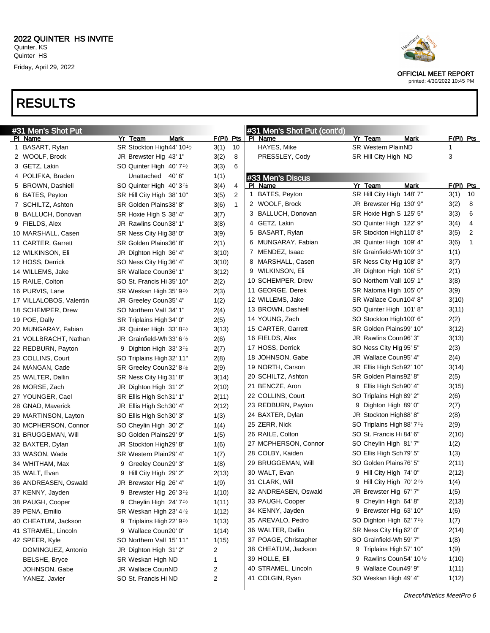

printed: 4/30/2022 10:45 PM

| #31 Men's Shot Put      |                                        |                      | #31 Men's Shot Put (cont'd) |                                         |             |
|-------------------------|----------------------------------------|----------------------|-----------------------------|-----------------------------------------|-------------|
| <u>PI Name</u>          | Yr Team<br>Mark                        | $F(PI)$ Pts          | PI Name                     | Yr Team<br>Mark                         | $F(PI)$ Pts |
| 1 BASART, Rylan         | SR Stockton High44' 10 <sup>1</sup> /2 | 3(1)<br>10           | HAYES, Mike                 | <b>SR Western PlainND</b>               | 1           |
| 2 WOOLF, Brock          | JR Brewster Hig 43' 1"                 | 3(2)<br>8            | PRESSLEY, Cody              | SR Hill City High ND                    | 3           |
| 3 GETZ, Lakin           | SO Quinter High 40' 7 <sup>1</sup> /2  | 6<br>3(3)            |                             |                                         |             |
| 4 POLIFKA, Braden       | Unattached 40'6"                       | 1(1)                 | #33 Men's Discus            |                                         |             |
| 5 BROWN, Dashiell       | SO Quinter High 40' 3 <sup>1</sup> /2  | 3(4)<br>4            | PI Name                     | Yr Team<br>Mark                         | $F(PI)$ Pts |
| 6 BATES, Peyton         | SR Hill City High 38' 10"              | 2<br>3(5)            | BATES, Peyton<br>1          | SR Hill City High 148' 7"               | 3(1)<br>10  |
| 7 SCHILTZ, Ashton       | SR Golden Plains38' 8"                 | $\mathbf{1}$<br>3(6) | 2 WOOLF, Brock              | JR Brewster Hig 130' 9"                 | 3(2)<br>8   |
| 8 BALLUCH, Donovan      | SR Hoxie High S 38' 4"                 | 3(7)                 | 3 BALLUCH, Donovan          | SR Hoxie High S 125' 5"                 | 3(3)<br>6   |
| 9 FIELDS, Alex          | JR Rawlins Coun38' 1"                  | 3(8)                 | 4 GETZ, Lakin               | SO Quinter High 122' 9"                 | 3(4)<br>4   |
| 10 MARSHALL, Casen      | SR Ness City Hig 38' 0"                | 3(9)                 | 5 BASART, Rylan             | SR Stockton High110' 8"                 | 3(5)<br>2   |
| 11 CARTER, Garrett      | SR Golden Plains36' 8"                 | 2(1)                 | 6 MUNGARAY, Fabian          | JR Quinter High 109' 4"                 | 3(6)<br>1   |
| 12 WILKINSON, Eli       | JR Dighton High 36' 4"                 | 3(10)                | 7 MENDEZ, Isaac             | SR Grainfield-Wh 109' 3"                | 1(1)        |
| 12 HOSS, Derrick        | SO Ness City Hig 36' 4"                | 3(10)                | 8 MARSHALL, Casen           | SR Ness City Hig 108' 3"                | 3(7)        |
| 14 WILLEMS, Jake        | SR Wallace Coun36' 1"                  | 3(12)                | 9 WILKINSON, Eli            | JR Dighton High 106' 5"                 | 2(1)        |
| 15 RAILE, Colton        | SO St. Francis Hi 35' 10"              | 2(2)                 | 10 SCHEMPER, Drew           | SO Northern Vall 105' 1"                | 3(8)        |
| 16 PURVIS, Lane         | SR Weskan High 35' $9\frac{1}{2}$      | 2(3)                 | 11 GEORGE, Derek            | SR Natoma High 105' 0"                  | 3(9)        |
| 17 VILLALOBOS, Valentin | JR Greeley Coun35' 4"                  | 1(2)                 | 12 WILLEMS, Jake            | SR Wallace Coun104' 8"                  | 3(10)       |
| 18 SCHEMPER, Drew       | SO Northern Vall 34' 1"                | 2(4)                 | 13 BROWN, Dashiell          | SO Quinter High 101'8"                  | 3(11)       |
| 19 POE, Dally           | SR Triplains High 34' 0"               | 2(5)                 | 14 YOUNG, Zach              | SO Stockton High100' 6"                 | 2(2)        |
| 20 MUNGARAY, Fabian     | JR Quinter High 33' 8 <sup>1/2</sup>   | 3(13)                | 15 CARTER, Garrett          | SR Golden Plains99' 10"                 | 3(12)       |
| 21 VOLLBRACHT, Nathan   | JR Grainfield-Wh 33' 6 $\frac{1}{2}$   | 2(6)                 | 16 FIELDS, Alex             | JR Rawlins Coun 96' 3"                  | 3(13)       |
| 22 REDBURN, Payton      | 9 Dighton High 33' $3\frac{1}{2}$      | 2(7)                 | 17 HOSS, Derrick            | SO Ness City Hig 95' 5"                 | 2(3)        |
| 23 COLLINS, Court       | SO Triplains High 32' 11"              | 2(8)                 | 18 JOHNSON, Gabe            | JR Wallace Coun95' 4"                   | 2(4)        |
| 24 MANGAN, Cade         | SR Greeley Coun32' 8 <sup>1</sup> /2   | 2(9)                 | 19 NORTH, Carson            | JR Ellis High Sch 92' 10"               | 3(14)       |
| 25 WALTER, Dallin       | SR Ness City Hig 31' 8"                | 3(14)                | 20 SCHILTZ, Ashton          | SR Golden Plains92' 8"                  | 2(5)        |
| 26 MORSE, Zach          | JR Dighton High 31' 2"                 | 2(10)                | 21 BENCZE, Aron             | 9 Ellis High Sch 90' 4"                 | 3(15)       |
| 27 YOUNGER, Cael        | SR Ellis High Sch31' 1"                | 2(11)                | 22 COLLINS, Court           | SO Triplains High 89′ 2″                | 2(6)        |
| 28 GNAD, Maverick       | JR Ellis High Sch30' 4"                | 2(12)                | 23 REDBURN, Payton          | 9 Dighton High 89' 0"                   | 2(7)        |
| 29 MARTINSON, Layton    | SO Ellis High Sch30' 3"                | 1(3)                 | 24 BAXTER, Dylan            | JR Stockton High88' 8"                  | 2(8)        |
| 30 MCPHERSON, Connor    | SO Cheylin High 30' 2"                 | 1(4)                 | 25 ZERR, Nick               | SO Triplains High 88' 7 <sup>1</sup> /2 | 2(9)        |
| 31 BRUGGEMAN, Will      | SO Golden Plains29' 9"                 | 1(5)                 | 26 RAILE, Colton            | SO St. Francis Hi 84' 6"                | 2(10)       |
| 32 BAXTER, Dylan        | JR Stockton High29' 8"                 | 1(6)                 | 27 MCPHERSON, Connor        | SO Cheylin High 81' 7"                  | 1(2)        |
| 33 WASON, Wade          | SR Western Plain29' 4"                 | 1(7)                 | 28 COLBY, Kaiden            | SO Ellis High Sch79' 5"                 | 1(3)        |
| 34 WHITHAM, Max         | 9 Greeley Coun29' 3"                   | 1(8)                 | 29 BRUGGEMAN, Will          | SO Golden Plains76' 5"                  | 2(11)       |
| 35 WALT, Evan           | 9 Hill City High 29' 2"                | 2(13)                | 30 WALT, Evan               | 9 Hill City High 74' 0"                 | 2(12)       |
| 36 ANDREASEN, Oswald    | JR Brewster Hig 26' 4"                 | 1(9)                 | 31 CLARK, Will              | 9 Hill City High 70' 2 <sup>1/2</sup>   | 1(4)        |
| 37 KENNY, Jayden        | 9 Brewster Hig 26' $3\frac{1}{2}$      | 1(10)                | 32 ANDREASEN, Oswald        | JR Brewster Hig 67' 7"                  | 1(5)        |
| 38 PAUGH, Cooper        | 9 Cheylin High $24'7'$                 | 1(11)                | 33 PAUGH, Cooper            | 9 Cheylin High 64' 8"                   | 2(13)       |
| 39 PENA, Emilio         | SR Weskan High 23' 4 <sup>1</sup> /2   | 1(12)                | 34 KENNY, Jayden            | 9 Brewster Hig 63' 10"                  | 1(6)        |
| 40 CHEATUM, Jackson     | 9 Triplains High 22' 9 <sup>1</sup> /2 | 1(13)                | 35 AREVALO, Pedro           | SO Dighton High 62' 7 <sup>1</sup> /2   | 1(7)        |
| 41 STRAMEL, Lincoln     | 9 Wallace Coun20' 0"                   | 1(14)                | 36 WALTER, Dallin           | SR Ness City Hig 62' 0"                 | 2(14)       |
| 42 SPEER, Kyle          | SO Northern Vall 15' 11"               | 1(15)                | 37 POAGE, Christapher       | SO Grainfield-Wh 59' 7"                 | 1(8)        |
| DOMINGUEZ, Antonio      | JR Dighton High 31' 2"                 | 2                    | 38 CHEATUM, Jackson         | 9 Triplains High 57' 10"                | 1(9)        |
| <b>BELSHE, Bryce</b>    | SR Weskan High ND                      | 1                    | 39 HOLLE, Eli               | 9 Rawlins Coun54' 101/2                 | 1(10)       |
| JOHNSON, Gabe           | JR Wallace CounND                      | 2                    | 40 STRAMEL, Lincoln         | 9 Wallace Coun49' 9"                    | 1(11)       |
| YANEZ, Javier           | SO St. Francis Hi ND                   | 2                    | 41 COLGIN, Ryan             | SO Weskan High 49' 4"                   | 1(12)       |
|                         |                                        |                      |                             |                                         |             |